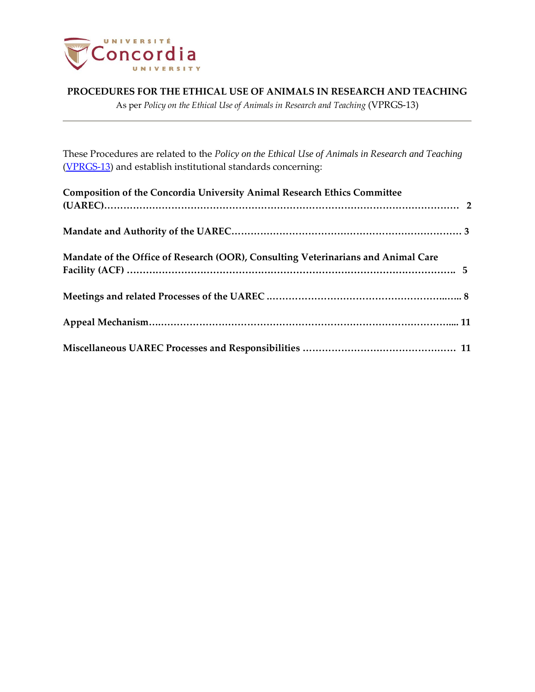

As per *Policy on the Ethical Use of Animals in Research and Teaching* (VPRGS-13)

These Procedures are related to the *Policy on the Ethical Use of Animals in Research and Teaching* [\(VPRGS-13\)](http://www.concordia.ca/content/dam/common/docs/policies/official-policies/VPRGS-13.pdf) and establish institutional standards concerning:

| Composition of the Concordia University Animal Research Ethics Committee          |  |
|-----------------------------------------------------------------------------------|--|
|                                                                                   |  |
|                                                                                   |  |
| Mandate of the Office of Research (OOR), Consulting Veterinarians and Animal Care |  |
|                                                                                   |  |
|                                                                                   |  |
|                                                                                   |  |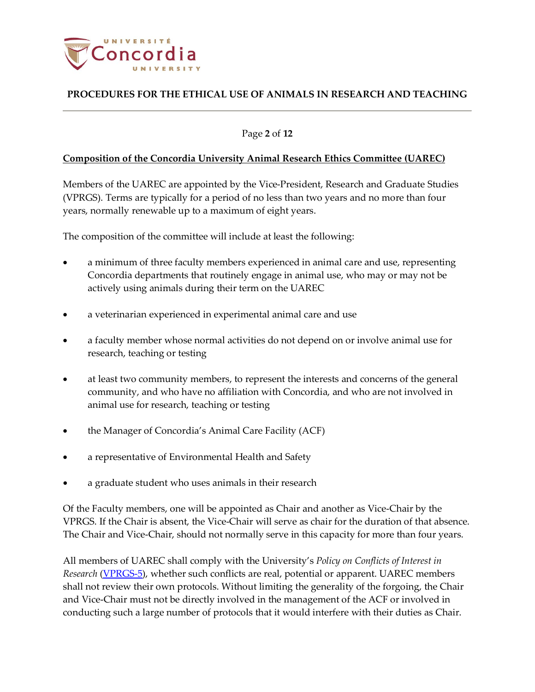

### Page **2** of **12**

### **Composition of the Concordia University Animal Research Ethics Committee (UAREC)**

Members of the UAREC are appointed by the Vice-President, Research and Graduate Studies (VPRGS). Terms are typically for a period of no less than two years and no more than four years, normally renewable up to a maximum of eight years.

The composition of the committee will include at least the following:

- a minimum of three faculty members experienced in animal care and use, representing Concordia departments that routinely engage in animal use, who may or may not be actively using animals during their term on the UAREC
- a veterinarian experienced in experimental animal care and use
- a faculty member whose normal activities do not depend on or involve animal use for research, teaching or testing
- at least two community members, to represent the interests and concerns of the general community, and who have no affiliation with Concordia, and who are not involved in animal use for research, teaching or testing
- the Manager of Concordia's Animal Care Facility (ACF)
- a representative of Environmental Health and Safety
- a graduate student who uses animals in their research

Of the Faculty members, one will be appointed as Chair and another as Vice-Chair by the VPRGS. If the Chair is absent, the Vice-Chair will serve as chair for the duration of that absence. The Chair and Vice-Chair, should not normally serve in this capacity for more than four years.

All members of UAREC shall comply with the University's *Policy on Conflicts of Interest in Research* [\(VPRGS-5\)](http://www.concordia.ca/content/dam/common/docs/policies/official-policies/VPRGS-5.pdf), whether such conflicts are real, potential or apparent. UAREC members shall not review their own protocols. Without limiting the generality of the forgoing, the Chair and Vice-Chair must not be directly involved in the management of the ACF or involved in conducting such a large number of protocols that it would interfere with their duties as Chair.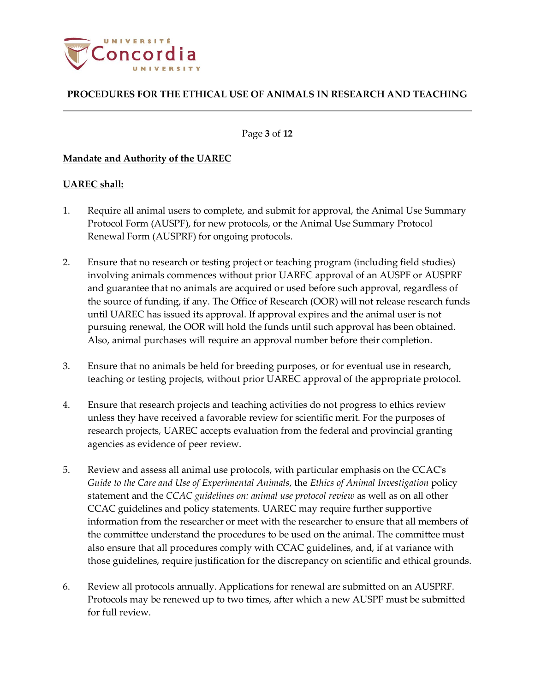

Page **3** of **12**

### **Mandate and Authority of the UAREC**

### **UAREC shall:**

- 1. Require all animal users to complete, and submit for approval, the Animal Use Summary Protocol Form (AUSPF), for new protocols, or the Animal Use Summary Protocol Renewal Form (AUSPRF) for ongoing protocols.
- 2. Ensure that no research or testing project or teaching program (including field studies) involving animals commences without prior UAREC approval of an AUSPF or AUSPRF and guarantee that no animals are acquired or used before such approval, regardless of the source of funding, if any. The Office of Research (OOR) will not release research funds until UAREC has issued its approval. If approval expires and the animal user is not pursuing renewal, the OOR will hold the funds until such approval has been obtained. Also, animal purchases will require an approval number before their completion.
- 3. Ensure that no animals be held for breeding purposes, or for eventual use in research, teaching or testing projects, without prior UAREC approval of the appropriate protocol.
- 4. Ensure that research projects and teaching activities do not progress to ethics review unless they have received a favorable review for scientific merit. For the purposes of research projects, UAREC accepts evaluation from the federal and provincial granting agencies as evidence of peer review.
- 5. Review and assess all animal use protocols, with particular emphasis on the CCAC's *Guide to the Care and Use of Experimental Animals*, the *Ethics of Animal Investigation* policy statement and the *CCAC guidelines on: animal use protocol review* as well as on all other CCAC guidelines and policy statements. UAREC may require further supportive information from the researcher or meet with the researcher to ensure that all members of the committee understand the procedures to be used on the animal. The committee must also ensure that all procedures comply with CCAC guidelines, and, if at variance with those guidelines, require justification for the discrepancy on scientific and ethical grounds.
- 6. Review all protocols annually. Applications for renewal are submitted on an AUSPRF. Protocols may be renewed up to two times, after which a new AUSPF must be submitted for full review.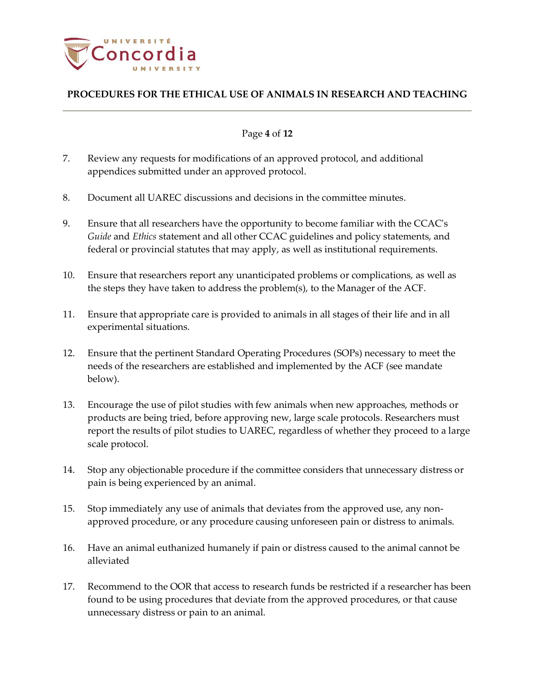

### Page **4** of **12**

- 7. Review any requests for modifications of an approved protocol, and additional appendices submitted under an approved protocol.
- 8. Document all UAREC discussions and decisions in the committee minutes.
- 9. Ensure that all researchers have the opportunity to become familiar with the CCAC's *Guide* and *Ethics* statement and all other CCAC guidelines and policy statements, and federal or provincial statutes that may apply, as well as institutional requirements.
- 10. Ensure that researchers report any unanticipated problems or complications, as well as the steps they have taken to address the problem(s), to the Manager of the ACF.
- 11. Ensure that appropriate care is provided to animals in all stages of their life and in all experimental situations.
- 12. Ensure that the pertinent Standard Operating Procedures (SOPs) necessary to meet the needs of the researchers are established and implemented by the ACF (see mandate below).
- 13. Encourage the use of pilot studies with few animals when new approaches, methods or products are being tried, before approving new, large scale protocols. Researchers must report the results of pilot studies to UAREC, regardless of whether they proceed to a large scale protocol.
- 14. Stop any objectionable procedure if the committee considers that unnecessary distress or pain is being experienced by an animal.
- 15. Stop immediately any use of animals that deviates from the approved use, any nonapproved procedure, or any procedure causing unforeseen pain or distress to animals.
- 16. Have an animal euthanized humanely if pain or distress caused to the animal cannot be alleviated
- 17. Recommend to the OOR that access to research funds be restricted if a researcher has been found to be using procedures that deviate from the approved procedures, or that cause unnecessary distress or pain to an animal.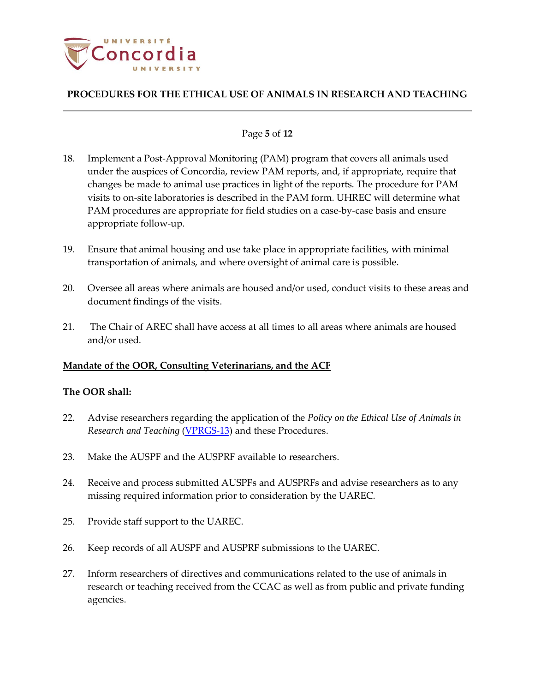

### Page **5** of **12**

- 18. Implement a Post-Approval Monitoring (PAM) program that covers all animals used under the auspices of Concordia, review PAM reports, and, if appropriate, require that changes be made to animal use practices in light of the reports. The procedure for PAM visits to on-site laboratories is described in the PAM form. UHREC will determine what PAM procedures are appropriate for field studies on a case-by-case basis and ensure appropriate follow-up.
- 19. Ensure that animal housing and use take place in appropriate facilities, with minimal transportation of animals, and where oversight of animal care is possible.
- 20. Oversee all areas where animals are housed and/or used, conduct visits to these areas and document findings of the visits.
- 21. The Chair of AREC shall have access at all times to all areas where animals are housed and/or used.

### **Mandate of the OOR, Consulting Veterinarians, and the ACF**

### **The OOR shall:**

- 22. Advise researchers regarding the application of the *Policy on the Ethical Use of Animals in Research and Teaching* [\(VPRGS-13\)](http://www.concordia.ca/content/dam/common/docs/policies/official-policies/VPRGS-13.pdf) and these Procedures.
- 23. Make the AUSPF and the AUSPRF available to researchers.
- 24. Receive and process submitted AUSPFs and AUSPRFs and advise researchers as to any missing required information prior to consideration by the UAREC.
- 25. Provide staff support to the UAREC.
- 26. Keep records of all AUSPF and AUSPRF submissions to the UAREC.
- 27. Inform researchers of directives and communications related to the use of animals in research or teaching received from the CCAC as well as from public and private funding agencies.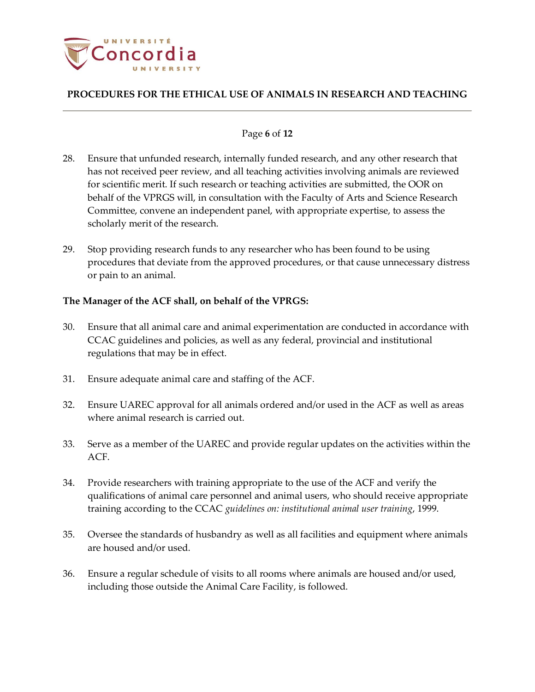

### Page **6** of **12**

- 28. Ensure that unfunded research, internally funded research, and any other research that has not received peer review, and all teaching activities involving animals are reviewed for scientific merit. If such research or teaching activities are submitted, the OOR on behalf of the VPRGS will, in consultation with the Faculty of Arts and Science Research Committee, convene an independent panel, with appropriate expertise, to assess the scholarly merit of the research.
- 29. Stop providing research funds to any researcher who has been found to be using procedures that deviate from the approved procedures, or that cause unnecessary distress or pain to an animal.

### **The Manager of the ACF shall, on behalf of the VPRGS:**

- 30. Ensure that all animal care and animal experimentation are conducted in accordance with CCAC guidelines and policies, as well as any federal, provincial and institutional regulations that may be in effect.
- 31. Ensure adequate animal care and staffing of the ACF.
- 32. Ensure UAREC approval for all animals ordered and/or used in the ACF as well as areas where animal research is carried out.
- 33. Serve as a member of the UAREC and provide regular updates on the activities within the ACF.
- 34. Provide researchers with training appropriate to the use of the ACF and verify the qualifications of animal care personnel and animal users, who should receive appropriate training according to the CCAC *guidelines on: institutional animal user training*, 1999.
- 35. Oversee the standards of husbandry as well as all facilities and equipment where animals are housed and/or used.
- 36. Ensure a regular schedule of visits to all rooms where animals are housed and/or used, including those outside the Animal Care Facility, is followed.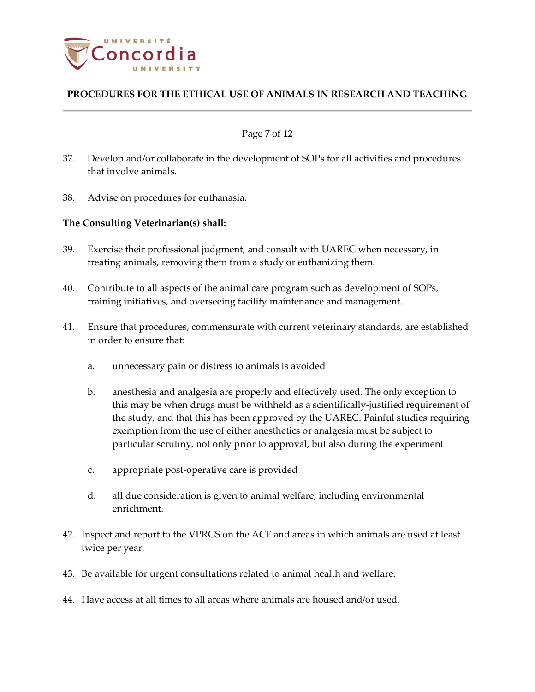

#### Page **7** of **12**

- 37. Develop and/or collaborate in the development of SOPs for all activities and procedures that involve animals.
- 38. Advise on procedures for euthanasia.

### **The Consulting Veterinarian(s) shall:**

- 39. Exercise their professional judgment, and consult with UAREC when necessary, in treating animals, removing them from a study or euthanizing them.
- 40. Contribute to all aspects of the animal care program such as development of SOPs, training initiatives, and overseeing facility maintenance and management.
- 41. Ensure that procedures, commensurate with current veterinary standards, are established in order to ensure that:
	- a. unnecessary pain or distress to animals is avoided
	- b. anesthesia and analgesia are properly and effectively used. The only exception to this may be when drugs must be withheld as a scientifically-justified requirement of the study, and that this has been approved by the UAREC. Painful studies requiring exemption from the use of either anesthetics or analgesia must be subject to particular scrutiny, not only prior to approval, but also during the experiment
	- c. appropriate post-operative care is provided
	- d. all due consideration is given to animal welfare, including environmental enrichment.
- 42. Inspect and report to the VPRGS on the ACF and areas in which animals are used at least twice per year.
- 43. Be available for urgent consultations related to animal health and welfare.
- 44. Have access at all times to all areas where animals are housed and/or used.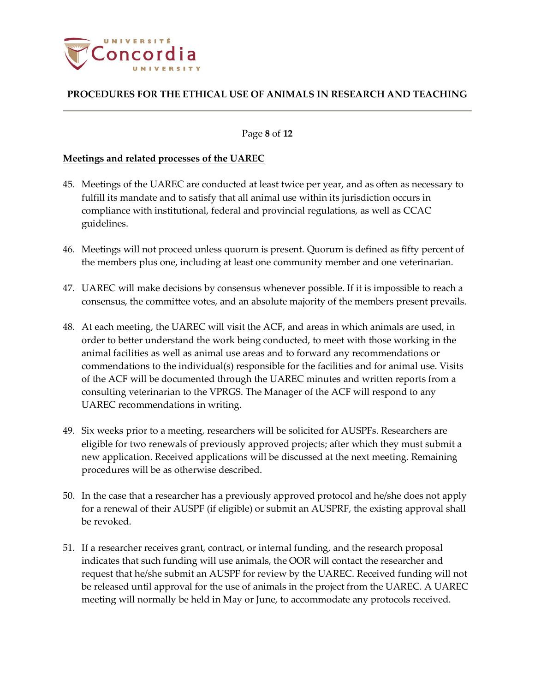

#### Page **8** of **12**

#### **Meetings and related processes of the UAREC**

- 45. Meetings of the UAREC are conducted at least twice per year, and as often as necessary to fulfill its mandate and to satisfy that all animal use within its jurisdiction occurs in compliance with institutional, federal and provincial regulations, as well as CCAC guidelines.
- 46. Meetings will not proceed unless quorum is present. Quorum is defined as fifty percent of the members plus one, including at least one community member and one veterinarian.
- 47. UAREC will make decisions by consensus whenever possible. If it is impossible to reach a consensus, the committee votes, and an absolute majority of the members present prevails.
- 48. At each meeting, the UAREC will visit the ACF, and areas in which animals are used, in order to better understand the work being conducted, to meet with those working in the animal facilities as well as animal use areas and to forward any recommendations or commendations to the individual(s) responsible for the facilities and for animal use. Visits of the ACF will be documented through the UAREC minutes and written reports from a consulting veterinarian to the VPRGS. The Manager of the ACF will respond to any UAREC recommendations in writing.
- 49. Six weeks prior to a meeting, researchers will be solicited for AUSPFs. Researchers are eligible for two renewals of previously approved projects; after which they must submit a new application. Received applications will be discussed at the next meeting. Remaining procedures will be as otherwise described.
- 50. In the case that a researcher has a previously approved protocol and he/she does not apply for a renewal of their AUSPF (if eligible) or submit an AUSPRF, the existing approval shall be revoked.
- 51. If a researcher receives grant, contract, or internal funding, and the research proposal indicates that such funding will use animals, the OOR will contact the researcher and request that he/she submit an AUSPF for review by the UAREC. Received funding will not be released until approval for the use of animals in the project from the UAREC. A UAREC meeting will normally be held in May or June, to accommodate any protocols received.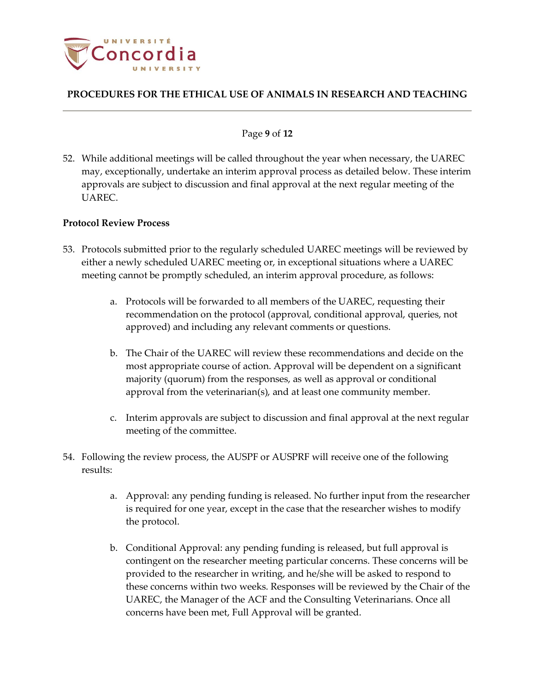

#### Page **9** of **12**

52. While additional meetings will be called throughout the year when necessary, the UAREC may, exceptionally, undertake an interim approval process as detailed below. These interim approvals are subject to discussion and final approval at the next regular meeting of the UAREC.

### **Protocol Review Process**

- 53. Protocols submitted prior to the regularly scheduled UAREC meetings will be reviewed by either a newly scheduled UAREC meeting or, in exceptional situations where a UAREC meeting cannot be promptly scheduled, an interim approval procedure, as follows:
	- a. Protocols will be forwarded to all members of the UAREC, requesting their recommendation on the protocol (approval, conditional approval, queries, not approved) and including any relevant comments or questions.
	- b. The Chair of the UAREC will review these recommendations and decide on the most appropriate course of action. Approval will be dependent on a significant majority (quorum) from the responses, as well as approval or conditional approval from the veterinarian(s), and at least one community member.
	- c. Interim approvals are subject to discussion and final approval at the next regular meeting of the committee.
- 54. Following the review process, the AUSPF or AUSPRF will receive one of the following results:
	- a. Approval: any pending funding is released. No further input from the researcher is required for one year, except in the case that the researcher wishes to modify the protocol.
	- b. Conditional Approval: any pending funding is released, but full approval is contingent on the researcher meeting particular concerns. These concerns will be provided to the researcher in writing, and he/she will be asked to respond to these concerns within two weeks. Responses will be reviewed by the Chair of the UAREC, the Manager of the ACF and the Consulting Veterinarians. Once all concerns have been met, Full Approval will be granted.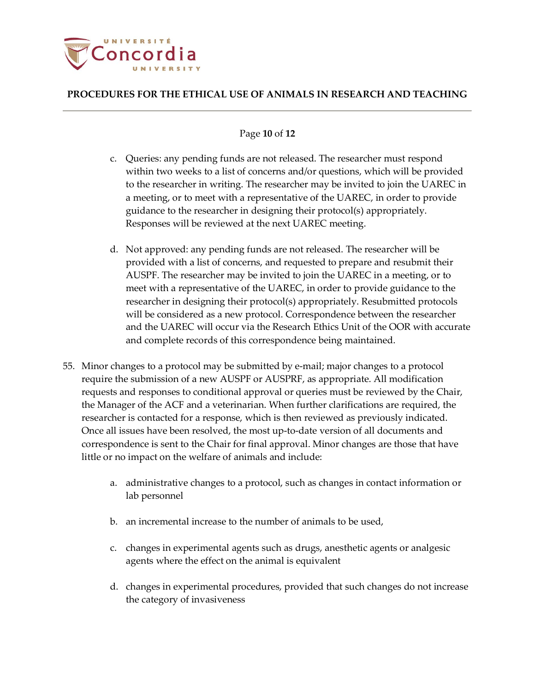

#### Page **10** of **12**

- c. Queries: any pending funds are not released. The researcher must respond within two weeks to a list of concerns and/or questions, which will be provided to the researcher in writing. The researcher may be invited to join the UAREC in a meeting, or to meet with a representative of the UAREC, in order to provide guidance to the researcher in designing their protocol(s) appropriately. Responses will be reviewed at the next UAREC meeting.
- d. Not approved: any pending funds are not released. The researcher will be provided with a list of concerns, and requested to prepare and resubmit their AUSPF. The researcher may be invited to join the UAREC in a meeting, or to meet with a representative of the UAREC, in order to provide guidance to the researcher in designing their protocol(s) appropriately. Resubmitted protocols will be considered as a new protocol. Correspondence between the researcher and the UAREC will occur via the Research Ethics Unit of the OOR with accurate and complete records of this correspondence being maintained.
- 55. Minor changes to a protocol may be submitted by e-mail; major changes to a protocol require the submission of a new AUSPF or AUSPRF, as appropriate. All modification requests and responses to conditional approval or queries must be reviewed by the Chair, the Manager of the ACF and a veterinarian. When further clarifications are required, the researcher is contacted for a response, which is then reviewed as previously indicated. Once all issues have been resolved, the most up-to-date version of all documents and correspondence is sent to the Chair for final approval. Minor changes are those that have little or no impact on the welfare of animals and include:
	- a. administrative changes to a protocol, such as changes in contact information or lab personnel
	- b. an incremental increase to the number of animals to be used,
	- c. changes in experimental agents such as drugs, anesthetic agents or analgesic agents where the effect on the animal is equivalent
	- d. changes in experimental procedures, provided that such changes do not increase the category of invasiveness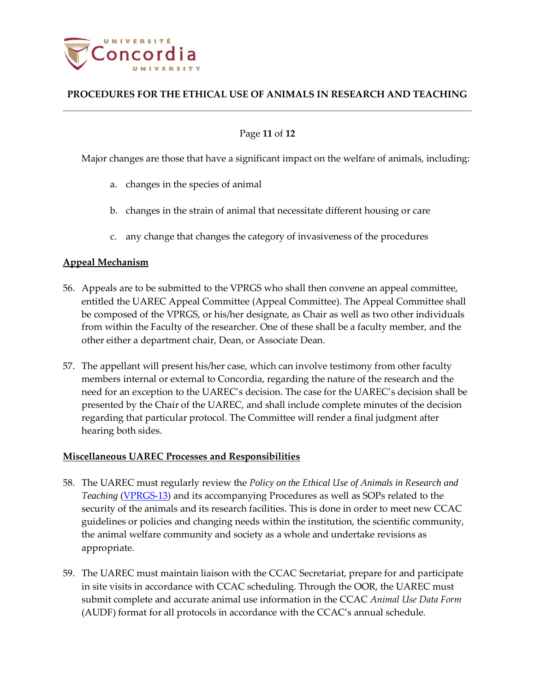

### Page **11** of **12**

Major changes are those that have a significant impact on the welfare of animals, including:

- a. changes in the species of animal
- b. changes in the strain of animal that necessitate different housing or care
- c. any change that changes the category of invasiveness of the procedures

#### **Appeal Mechanism**

- 56. Appeals are to be submitted to the VPRGS who shall then convene an appeal committee, entitled the UAREC Appeal Committee (Appeal Committee). The Appeal Committee shall be composed of the VPRGS, or his/her designate, as Chair as well as two other individuals from within the Faculty of the researcher. One of these shall be a faculty member, and the other either a department chair, Dean, or Associate Dean.
- 57. The appellant will present his/her case, which can involve testimony from other faculty members internal or external to Concordia, regarding the nature of the research and the need for an exception to the UAREC's decision. The case for the UAREC's decision shall be presented by the Chair of the UAREC, and shall include complete minutes of the decision regarding that particular protocol. The Committee will render a final judgment after hearing both sides.

#### **Miscellaneous UAREC Processes and Responsibilities**

- 58. The UAREC must regularly review the *Policy on the Ethical Use of Animals in Research and Teaching* [\(VPRGS-13\)](http://www.concordia.ca/content/dam/common/docs/policies/official-policies/VPRGS-13.pdf) and its accompanying Procedures as well as SOPs related to the security of the animals and its research facilities. This is done in order to meet new CCAC guidelines or policies and changing needs within the institution, the scientific community, the animal welfare community and society as a whole and undertake revisions as appropriate.
- 59. The UAREC must maintain liaison with the CCAC Secretariat, prepare for and participate in site visits in accordance with CCAC scheduling. Through the OOR, the UAREC must submit complete and accurate animal use information in the CCAC *Animal Use Data Form*  (AUDF) format for all protocols in accordance with the CCAC's annual schedule.